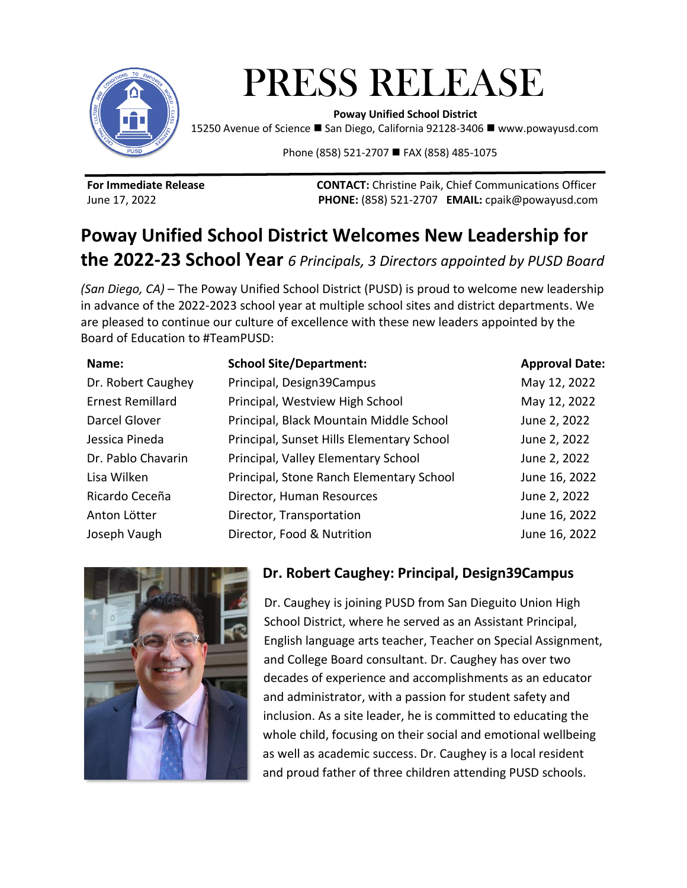

# PRESS RELEASE  **Poway Unified School District**

15250 Avenue of Science ◼ San Diego, California 92128-3406 ◼ www.powayusd.com

Phone (858) 521-2707 ■ FAX (858) 485-1075

**For Immediate Release CONTACT:** Christine Paik, Chief Communications Officer June 17, 2022 **PHONE:** (858) 521-2707 **EMAIL:** cpaik@powayusd.com

# **Poway Unified School District Welcomes New Leadership for the 2022-23 School Year** *6 Principals, 3 Directors appointed by PUSD Board*

*(San Diego, CA)* – The Poway Unified School District (PUSD) is proud to welcome new leadership in advance of the 2022-2023 school year at multiple school sites and district departments. We are pleased to continue our culture of excellence with these new leaders appointed by the Board of Education to #TeamPUSD:

| Name:                   | <b>School Site/Department:</b>            | <b>Approval Date:</b> |
|-------------------------|-------------------------------------------|-----------------------|
| Dr. Robert Caughey      | Principal, Design39Campus                 | May 12, 2022          |
| <b>Ernest Remillard</b> | Principal, Westview High School           | May 12, 2022          |
| Darcel Glover           | Principal, Black Mountain Middle School   | June 2, 2022          |
| Jessica Pineda          | Principal, Sunset Hills Elementary School | June 2, 2022          |
| Dr. Pablo Chavarin      | Principal, Valley Elementary School       | June 2, 2022          |
| Lisa Wilken             | Principal, Stone Ranch Elementary School  | June 16, 2022         |
| Ricardo Ceceña          | Director, Human Resources                 | June 2, 2022          |
| Anton Lötter            | Director, Transportation                  | June 16, 2022         |
| Joseph Vaugh            | Director, Food & Nutrition                | June 16, 2022         |



## **Dr. Robert Caughey: Principal, Design39Campus**

Dr. Caughey is joining PUSD from San Dieguito Union High School District, where he served as an Assistant Principal, English language arts teacher, Teacher on Special Assignment, and College Board consultant. Dr. Caughey has over two decades of experience and accomplishments as an educator and administrator, with a passion for student safety and inclusion. As a site leader, he is committed to educating the whole child, focusing on their social and emotional wellbeing as well as academic success. Dr. Caughey is a local resident and proud father of three children attending PUSD schools.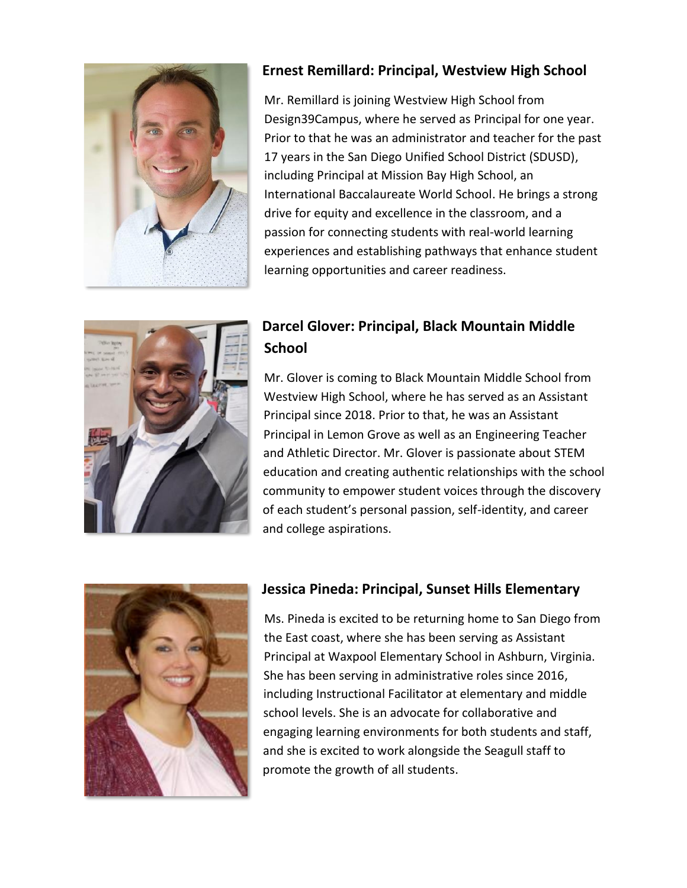

#### **Ernest Remillard: Principal, Westview High School**

Mr. Remillard is joining Westview High School from Design39Campus, where he served as Principal for one year. Prior to that he was an administrator and teacher for the past 17 years in the San Diego Unified School District (SDUSD), including Principal at Mission Bay High School, an International Baccalaureate World School. He brings a strong drive for equity and excellence in the classroom, and a passion for connecting students with real-world learning experiences and establishing pathways that enhance student learning opportunities and career readiness.



### **Darcel Glover: Principal, Black Mountain Middle School**

Mr. Glover is coming to Black Mountain Middle School from Westview High School, where he has served as an Assistant Principal since 2018. Prior to that, he was an Assistant Principal in Lemon Grove as well as an Engineering Teacher and Athletic Director. Mr. Glover is passionate about STEM education and creating authentic relationships with the school community to empower student voices through the discovery of each student's personal passion, self-identity, and career and college aspirations.



#### **Jessica Pineda: Principal, Sunset Hills Elementary**

Ms. Pineda is excited to be returning home to San Diego from the East coast, where she has been serving as Assistant Principal at Waxpool Elementary School in Ashburn, Virginia. She has been serving in administrative roles since 2016, including Instructional Facilitator at elementary and middle school levels. She is an advocate for collaborative and engaging learning environments for both students and staff, and she is excited to work alongside the Seagull staff to promote the growth of all students.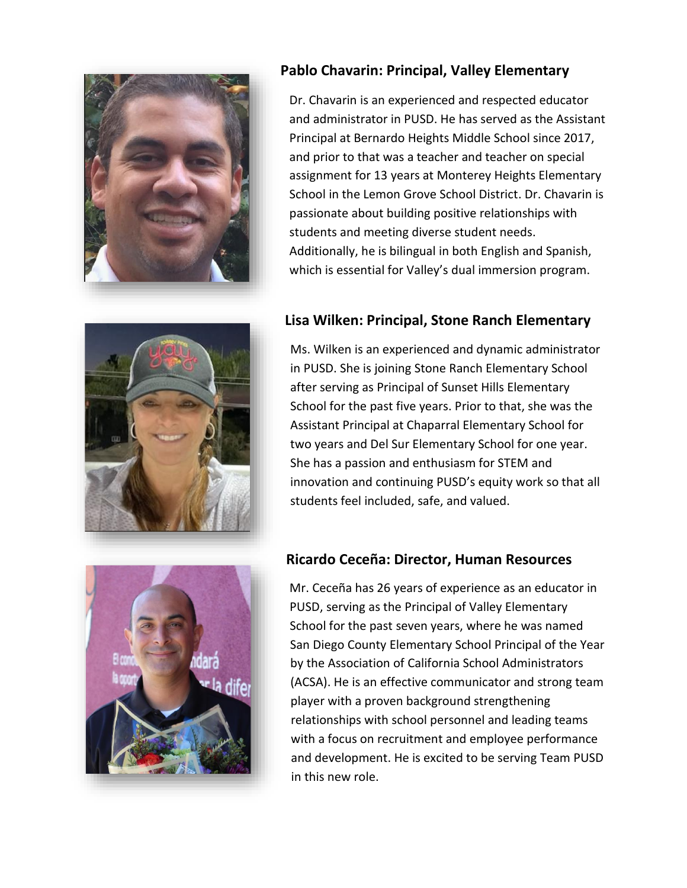

#### **Pablo Chavarin: Principal, Valley Elementary**

Dr. Chavarin is an experienced and respected educator and administrator in PUSD. He has served as the Assistant Principal at Bernardo Heights Middle School since 2017, and prior to that was a teacher and teacher on special assignment for 13 years at Monterey Heights Elementary School in the Lemon Grove School District. Dr. Chavarin is passionate about building positive relationships with students and meeting diverse student needs. Additionally, he is bilingual in both English and Spanish, which is essential for Valley's dual immersion program.



#### **Lisa Wilken: Principal, Stone Ranch Elementary**

Ms. Wilken is an experienced and dynamic administrator in PUSD. She is joining Stone Ranch Elementary School after serving as Principal of Sunset Hills Elementary School for the past five years. Prior to that, she was the Assistant Principal at Chaparral Elementary School for two years and Del Sur Elementary School for one year. She has a passion and enthusiasm for STEM and innovation and continuing PUSD's equity work so that all students feel included, safe, and valued.



#### **Ricardo Ceceña: Director, Human Resources**

Mr. Ceceña has 26 years of experience as an educator in PUSD, serving as the Principal of Valley Elementary School for the past seven years, where he was named San Diego County Elementary School Principal of the Year by the Association of California School Administrators (ACSA). He is an effective communicator and strong team player with a proven background strengthening relationships with school personnel and leading teams with a focus on recruitment and employee performance and development. He is excited to be serving Team PUSD in this new role.